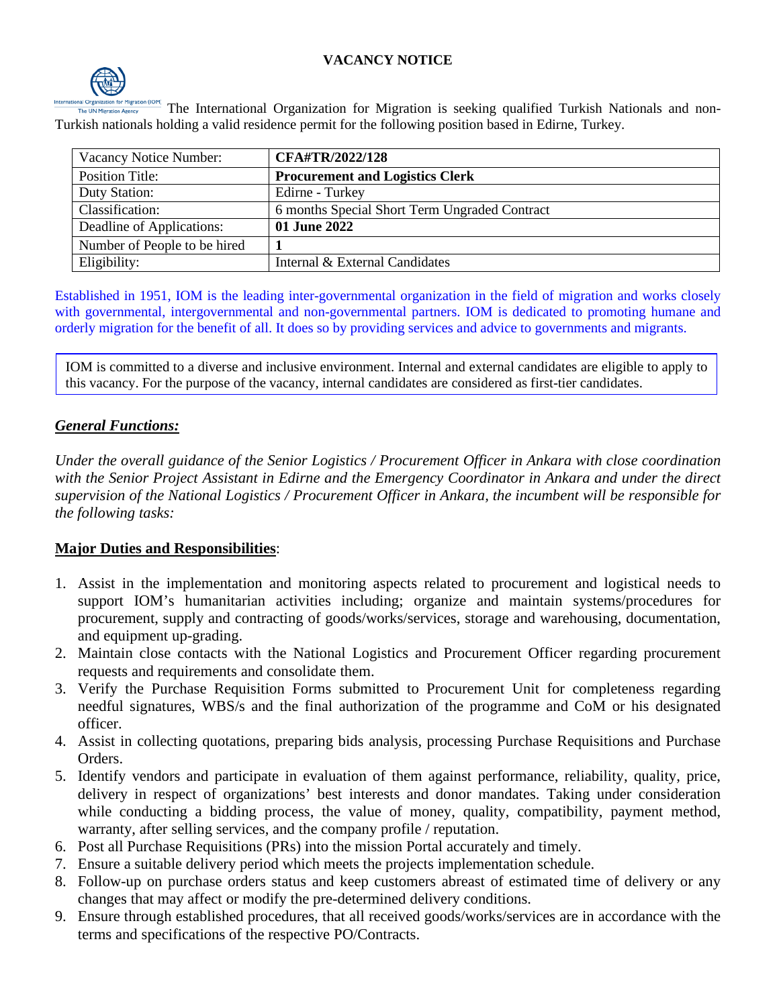## **VACANCY NOTICE**



The International Organization for Migration is seeking qualified Turkish Nationals and non-Turkish nationals holding a valid residence permit for the following position based in Edirne, Turkey.

| Vacancy Notice Number:       | <b>CFA#TR/2022/128</b>                        |
|------------------------------|-----------------------------------------------|
| <b>Position Title:</b>       | <b>Procurement and Logistics Clerk</b>        |
| Duty Station:                | Edirne - Turkey                               |
| Classification:              | 6 months Special Short Term Ungraded Contract |
| Deadline of Applications:    | 01 June 2022                                  |
| Number of People to be hired |                                               |
| Eligibility:                 | Internal & External Candidates                |

Established in 1951, IOM is the leading inter-governmental organization in the field of migration and works closely with governmental, intergovernmental and non-governmental partners. IOM is dedicated to promoting humane and orderly migration for the benefit of all. It does so by providing services and advice to governments and migrants.

IOM is committed to a diverse and inclusive environment. Internal and external candidates are eligible to apply to this vacancy. For the purpose of the vacancy, internal candidates are considered as first-tier candidates.

#### *General Functions:*

*Under the overall guidance of the Senior Logistics / Procurement Officer in Ankara with close coordination with the Senior Project Assistant in Edirne and the Emergency Coordinator in Ankara and under the direct supervision of the National Logistics / Procurement Officer in Ankara, the incumbent will be responsible for the following tasks:*

#### **Major Duties and Responsibilities**:

- 1. Assist in the implementation and monitoring aspects related to procurement and logistical needs to support IOM's humanitarian activities including; organize and maintain systems/procedures for procurement, supply and contracting of goods/works/services, storage and warehousing, documentation, and equipment up-grading.
- 2. Maintain close contacts with the National Logistics and Procurement Officer regarding procurement requests and requirements and consolidate them.
- 3. Verify the Purchase Requisition Forms submitted to Procurement Unit for completeness regarding needful signatures, WBS/s and the final authorization of the programme and CoM or his designated officer.
- 4. Assist in collecting quotations, preparing bids analysis, processing Purchase Requisitions and Purchase Orders.
- 5. Identify vendors and participate in evaluation of them against performance, reliability, quality, price, delivery in respect of organizations' best interests and donor mandates. Taking under consideration while conducting a bidding process, the value of money, quality, compatibility, payment method, warranty, after selling services, and the company profile / reputation.
- 6. Post all Purchase Requisitions (PRs) into the mission Portal accurately and timely.
- 7. Ensure a suitable delivery period which meets the projects implementation schedule.
- 8. Follow-up on purchase orders status and keep customers abreast of estimated time of delivery or any changes that may affect or modify the pre-determined delivery conditions.
- 9. Ensure through established procedures, that all received goods/works/services are in accordance with the terms and specifications of the respective PO/Contracts.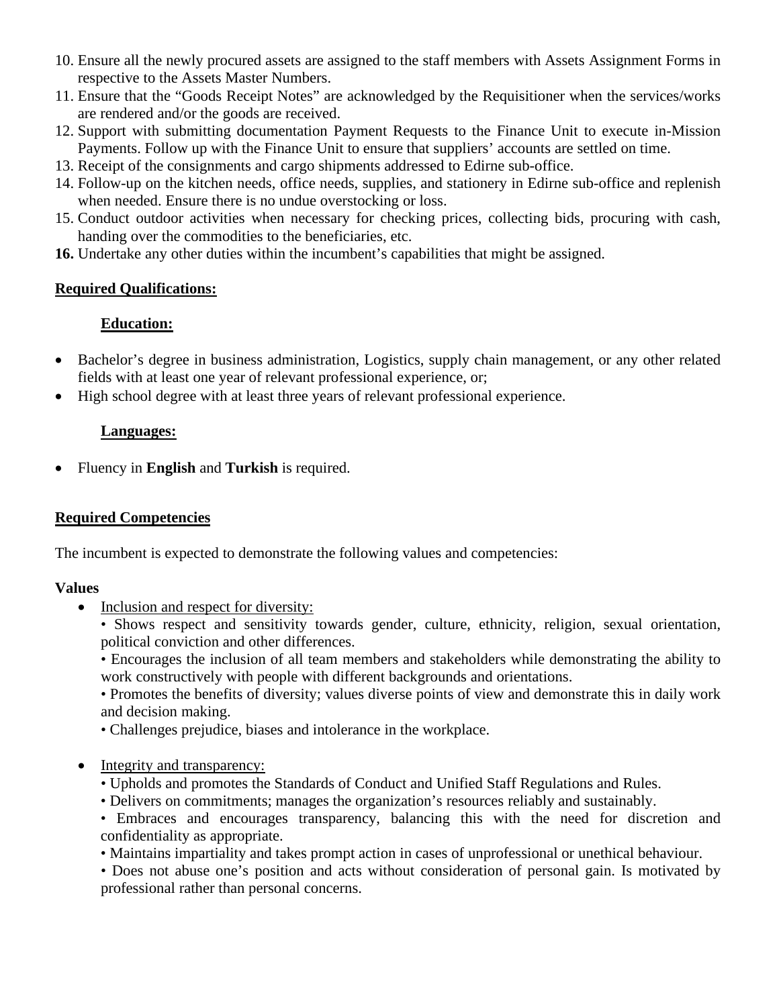- 10. Ensure all the newly procured assets are assigned to the staff members with Assets Assignment Forms in respective to the Assets Master Numbers.
- 11. Ensure that the "Goods Receipt Notes" are acknowledged by the Requisitioner when the services/works are rendered and/or the goods are received.
- 12. Support with submitting documentation Payment Requests to the Finance Unit to execute in-Mission Payments. Follow up with the Finance Unit to ensure that suppliers' accounts are settled on time.
- 13. Receipt of the consignments and cargo shipments addressed to Edirne sub-office.
- 14. Follow-up on the kitchen needs, office needs, supplies, and stationery in Edirne sub-office and replenish when needed. Ensure there is no undue overstocking or loss.
- 15. Conduct outdoor activities when necessary for checking prices, collecting bids, procuring with cash, handing over the commodities to the beneficiaries, etc.
- **16.** Undertake any other duties within the incumbent's capabilities that might be assigned.

## **Required Qualifications:**

# **Education:**

- Bachelor's degree in business administration, Logistics, supply chain management, or any other related fields with at least one year of relevant professional experience, or;
- High school degree with at least three years of relevant professional experience.

## **Languages:**

• Fluency in **English** and **Turkish** is required.

## **Required Competencies**

The incumbent is expected to demonstrate the following values and competencies:

## **Values**

- Inclusion and respect for diversity:
	- Shows respect and sensitivity towards gender, culture, ethnicity, religion, sexual orientation, political conviction and other differences.
	- Encourages the inclusion of all team members and stakeholders while demonstrating the ability to work constructively with people with different backgrounds and orientations.

• Promotes the benefits of diversity; values diverse points of view and demonstrate this in daily work and decision making.

- Challenges prejudice, biases and intolerance in the workplace.
- Integrity and transparency:
	- Upholds and promotes the Standards of Conduct and Unified Staff Regulations and Rules.
	- Delivers on commitments; manages the organization's resources reliably and sustainably.
	- Embraces and encourages transparency, balancing this with the need for discretion and confidentiality as appropriate.
	- Maintains impartiality and takes prompt action in cases of unprofessional or unethical behaviour.
	- Does not abuse one's position and acts without consideration of personal gain. Is motivated by professional rather than personal concerns.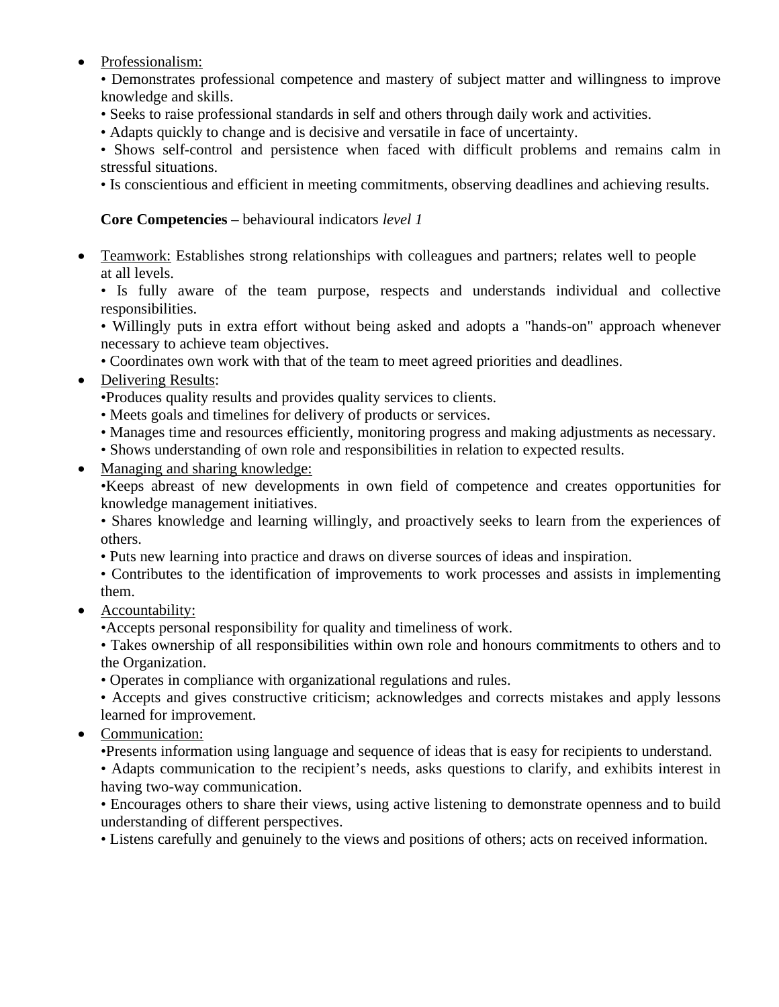## • Professionalism:

• Demonstrates professional competence and mastery of subject matter and willingness to improve knowledge and skills.

- Seeks to raise professional standards in self and others through daily work and activities.
- Adapts quickly to change and is decisive and versatile in face of uncertainty.

• Shows self-control and persistence when faced with difficult problems and remains calm in stressful situations.

• Is conscientious and efficient in meeting commitments, observing deadlines and achieving results.

# **Core Competencies** – behavioural indicators *level 1*

• Teamwork: Establishes strong relationships with colleagues and partners; relates well to people at all levels.

• Is fully aware of the team purpose, respects and understands individual and collective responsibilities.

• Willingly puts in extra effort without being asked and adopts a "hands-on" approach whenever necessary to achieve team objectives.

• Coordinates own work with that of the team to meet agreed priorities and deadlines.

• Delivering Results:

•Produces quality results and provides quality services to clients.

- Meets goals and timelines for delivery of products or services.
- Manages time and resources efficiently, monitoring progress and making adjustments as necessary.
- Shows understanding of own role and responsibilities in relation to expected results.
- Managing and sharing knowledge:

•Keeps abreast of new developments in own field of competence and creates opportunities for knowledge management initiatives.

• Shares knowledge and learning willingly, and proactively seeks to learn from the experiences of others.

• Puts new learning into practice and draws on diverse sources of ideas and inspiration.

• Contributes to the identification of improvements to work processes and assists in implementing them.

• Accountability:

•Accepts personal responsibility for quality and timeliness of work.

• Takes ownership of all responsibilities within own role and honours commitments to others and to the Organization.

• Operates in compliance with organizational regulations and rules.

• Accepts and gives constructive criticism; acknowledges and corrects mistakes and apply lessons learned for improvement.

• Communication:

•Presents information using language and sequence of ideas that is easy for recipients to understand.

• Adapts communication to the recipient's needs, asks questions to clarify, and exhibits interest in having two-way communication.

• Encourages others to share their views, using active listening to demonstrate openness and to build understanding of different perspectives.

• Listens carefully and genuinely to the views and positions of others; acts on received information.